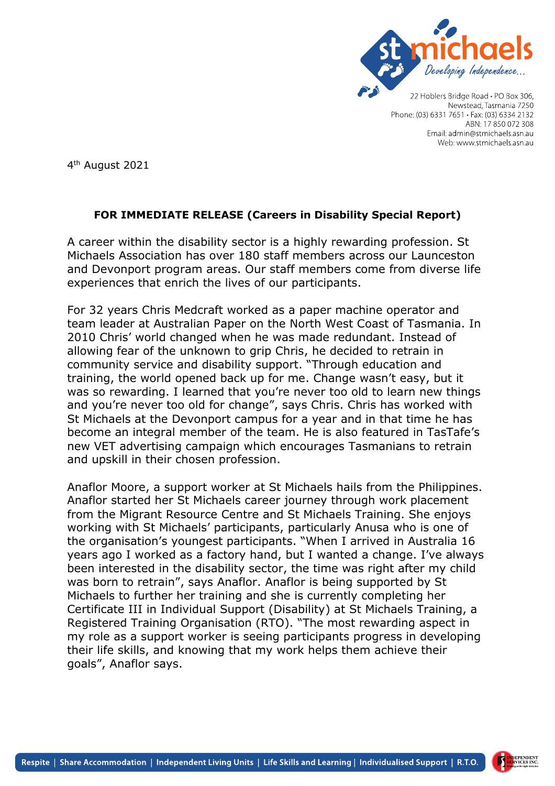

Newstead, Tasmania 7250 Phone: (03) 6331 7651 · Fax: (03) 6334 2132 ABN: 17 850 072 308 Email: admin@stmichaels.asn.au Web: www.stmichaels.asn.au

4 th August 2021

## **FOR IMMEDIATE RELEASE (Careers in Disability Special Report)**

A career within the disability sector is a highly rewarding profession. St Michaels Association has over 180 staff members across our Launceston and Devonport program areas. Our staff members come from diverse life experiences that enrich the lives of our participants.

For 32 years Chris Medcraft worked as a paper machine operator and team leader at Australian Paper on the North West Coast of Tasmania. In 2010 Chris' world changed when he was made redundant. Instead of allowing fear of the unknown to grip Chris, he decided to retrain in community service and disability support. "Through education and training, the world opened back up for me. Change wasn't easy, but it was so rewarding. I learned that you're never too old to learn new things and you're never too old for change", says Chris. Chris has worked with St Michaels at the Devonport campus for a year and in that time he has become an integral member of the team. He is also featured in TasTafe's new VET advertising campaign which encourages Tasmanians to retrain and upskill in their chosen profession.

Anaflor Moore, a support worker at St Michaels hails from the Philippines. Anaflor started her St Michaels career journey through work placement from the Migrant Resource Centre and St Michaels Training. She enjoys working with St Michaels' participants, particularly Anusa who is one of the organisation's youngest participants. "When I arrived in Australia 16 years ago I worked as a factory hand, but I wanted a change. I've always been interested in the disability sector, the time was right after my child was born to retrain", says Anaflor. Anaflor is being supported by St Michaels to further her training and she is currently completing her Certificate III in Individual Support (Disability) at St Michaels Training, a Registered Training Organisation (RTO). "The most rewarding aspect in my role as a support worker is seeing participants progress in developing their life skills, and knowing that my work helps them achieve their goals", Anaflor says.